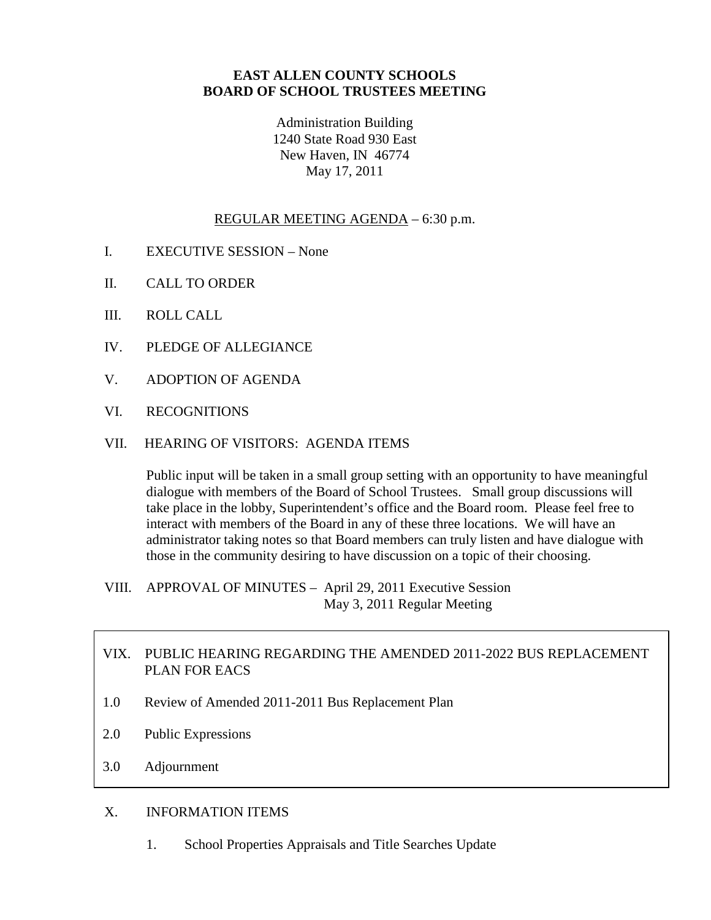## **EAST ALLEN COUNTY SCHOOLS BOARD OF SCHOOL TRUSTEES MEETING**

Administration Building 1240 State Road 930 East New Haven, IN 46774 May 17, 2011

#### REGULAR MEETING AGENDA – 6:30 p.m.

- I. EXECUTIVE SESSION None
- II. CALL TO ORDER
- III. ROLL CALL
- IV. PLEDGE OF ALLEGIANCE
- V. ADOPTION OF AGENDA
- VI. RECOGNITIONS

#### VII. HEARING OF VISITORS: AGENDA ITEMS

Public input will be taken in a small group setting with an opportunity to have meaningful dialogue with members of the Board of School Trustees. Small group discussions will take place in the lobby, Superintendent's office and the Board room. Please feel free to interact with members of the Board in any of these three locations. We will have an administrator taking notes so that Board members can truly listen and have dialogue with those in the community desiring to have discussion on a topic of their choosing.

VIII. APPROVAL OF MINUTES – April 29, 2011 Executive Session May 3, 2011 Regular Meeting

## VIX. PUBLIC HEARING REGARDING THE AMENDED 2011-2022 BUS REPLACEMENT PLAN FOR EACS

- 1.0 Review of Amended 2011-2011 Bus Replacement Plan
- 2.0 Public Expressions
- 3.0 Adjournment

#### X. INFORMATION ITEMS

1. School Properties Appraisals and Title Searches Update